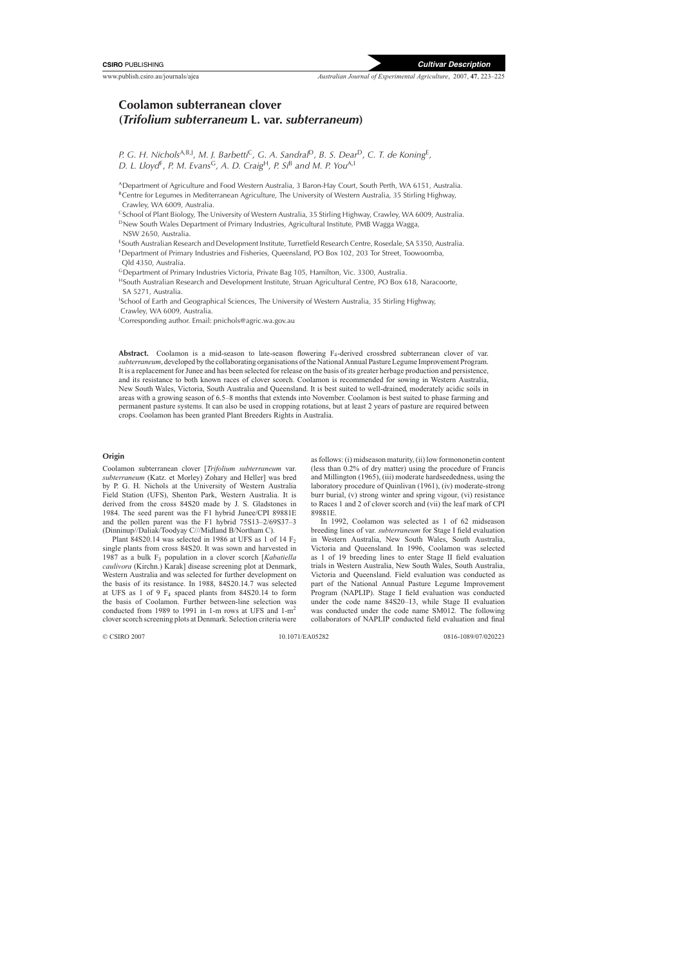# **Coolamon subterranean clover (***Trifolium subterraneum* **L. var.** *subterraneum***)**

*P. G. H. Nichols*A,B,J*, M. J. Barbetti*<sup>C</sup>*, G. A. Sandral*<sup>D</sup>*, B. S. Dear*<sup>D</sup>*, C. T. de Koning*<sup>E</sup>*, D. L. Lloyd*<sup>F</sup>*, P. M. Evans*<sup>G</sup>*, A. D. Craig*<sup>H</sup>*, P. Si*<sup>B</sup> *and M. P. You*A,I

ADepartment of Agriculture and Food Western Australia, 3 Baron-Hay Court, South Perth, WA 6151, Australia.  $B$ Centre for Legumes in Mediterranean Agriculture, The University of Western Australia, 35 Stirling Highway, Crawley, WA 6009, Australia.

<sup>C</sup>School of Plant Biology, The University of Western Australia, 35 Stirling Highway, Crawley, WA 6009, Australia. <sup>D</sup>New South Wales Department of Primary Industries, Agricultural Institute, PMB Wagga Wagga,

NSW 2650, Australia.

ESouth Australian Research and Development Institute, Turretfield Research Centre, Rosedale, SA 5350, Australia.

FDepartment of Primary Industries and Fisheries, Queensland, PO Box 102, 203 Tor Street, Toowoomba, Qld 4350, Australia.

GDepartment of Primary Industries Victoria, Private Bag 105, Hamilton, Vic. 3300, Australia.

HSouth Australian Research and Development Institute, Struan Agricultural Centre, PO Box 618, Naracoorte, SA 5271, Australia.

<sup>I</sup>School of Earth and Geographical Sciences, The University of Western Australia, 35 Stirling Highway, Crawley, WA 6009, Australia.

J Corresponding author. Email: pnichols@agric.wa.gov.au

Abstract. Coolamon is a mid-season to late-season flowering F<sub>4</sub>-derived crossbred subterranean clover of var. *subterraneum*, developed by the collaborating organisations of the National Annual Pasture Legume Improvement Program. It is a replacement for Junee and has been selected for release on the basis of its greater herbage production and persistence, and its resistance to both known races of clover scorch. Coolamon is recommended for sowing in Western Australia, New South Wales, Victoria, South Australia and Queensland. It is best suited to well-drained, moderately acidic soils in areas with a growing season of 6.5–8 months that extends into November. Coolamon is best suited to phase farming and permanent pasture systems. It can also be used in cropping rotations, but at least 2 years of pasture are required between crops. Coolamon has been granted Plant Breeders Rights in Australia.

# **Origin**

Coolamon subterranean clover [*Trifolium subterraneum* var. *subterraneum* (Katz. et Morley) Zohary and Heller] was bred by P. G. H. Nichols at the University of Western Australia Field Station (UFS), Shenton Park, Western Australia. It is derived from the cross 84S20 made by J. S. Gladstones in 1984. The seed parent was the F1 hybrid Junee/CPI 89881E and the pollen parent was the F1 hybrid 75S13–2/69S37–3 (Dinninup//Daliak/Toodyay C///Midland B/Northam C).

Plant 84S20.14 was selected in 1986 at UFS as 1 of 14  $F_2$ single plants from cross 84S20. It was sown and harvested in 1987 as a bulk F3 population in a clover scorch [*Kabatiella caulivora* (Kirchn.) Karak] disease screening plot at Denmark, Western Australia and was selected for further development on the basis of its resistance. In 1988, 84S20.14.7 was selected at UFS as 1 of 9  $F_4$  spaced plants from 84S20.14 to form the basis of Coolamon. Further between-line selection was conducted from 1989 to 1991 in 1-m rows at UFS and 1-m<sup>2</sup> clover scorch screening plots at Denmark. Selection criteria were

as follows: (i) midseason maturity, (ii) low formononetin content (less than 0.2% of dry matter) using the procedure of [Francis](#page-2-0) and Millington (1965), (iii) moderate hardseededness, using the laboratory procedure of [Quinlivan \(1961\), \(](#page-2-0)iv) moderate-strong burr burial, (v) strong winter and spring vigour, (vi) resistance to Races 1 and 2 of clover scorch and (vii) the leaf mark of CPI 89881E.

In 1992, Coolamon was selected as 1 of 62 midseason breeding lines of var. *subterraneum* for Stage I field evaluation in Western Australia, New South Wales, South Australia, Victoria and Queensland. In 1996, Coolamon was selected as 1 of 19 breeding lines to enter Stage II field evaluation trials in Western Australia, New South Wales, South Australia, Victoria and Queensland. Field evaluation was conducted as part of the National Annual Pasture Legume Improvement Program (NAPLIP). Stage I field evaluation was conducted under the code name 84S20–13, while Stage II evaluation was conducted under the code name SM012. The following collaborators of NAPLIP conducted field evaluation and final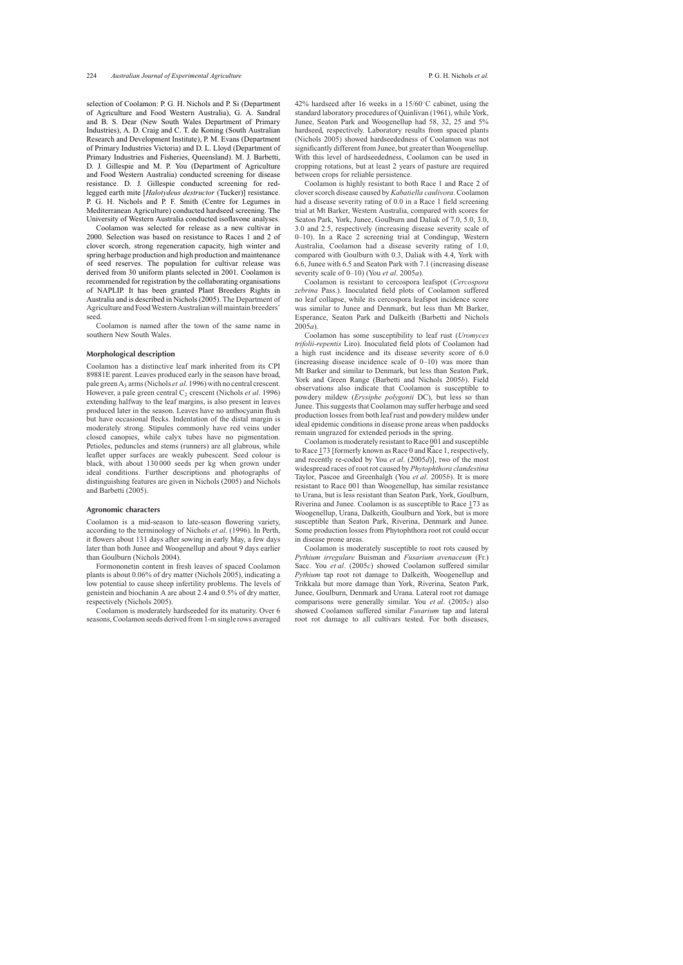selection of Coolamon: P. G. H. Nichols and P. Si (Department of Agriculture and Food Western Australia), G. A. Sandral and B. S. Dear (New South Wales Department of Primary Industries), A. D. Craig and C. T. de Koning (South Australian Research and Development Institute), P. M. Evans (Department of Primary Industries Victoria) and D. L. Lloyd (Department of Primary Industries and Fisheries, Queensland). M. J. Barbetti, D. J. Gillespie and M. P. You (Department of Agriculture and Food Western Australia) conducted screening for disease resistance. D. J. Gillespie conducted screening for redlegged earth mite [*Halotydeus destructor* (Tucker)] resistance. P. G. H. Nichols and P. F. Smith (Centre for Legumes in Mediterranean Agriculture) conducted hardseed screening. The University of Western Australia conducted isoflavone analyses.

Coolamon was selected for release as a new cultivar in 2000. Selection was based on resistance to Races 1 and 2 of clover scorch, strong regeneration capacity, high winter and spring herbage production and high production and maintenance of seed reserves. The population for cultivar release was derived from 30 uniform plants selected in 2001. Coolamon is recommended for registration by the collaborating organisations of NAPLIP. It has been granted Plant Breeders Rights in Australia and is described in [Nichols \(2005\). T](#page-2-0)he Department of Agriculture and Food Western Australian will maintain breeders' seed.

Coolamon is named after the town of the same name in southern New South Wales.

## **Morphological description**

Coolamon has a distinctive leaf mark inherited from its CPI 89881E parent. Leaves produced early in the season have broad, pale green A3 arms (Nichols *et al*[. 1996\) w](#page-2-0)ith no central crescent. However, a pale green central C<sub>2</sub> crescent [\(Nichols](#page-2-0) *et al.* 1996) extending halfway to the leaf margins, is also present in leaves produced later in the season. Leaves have no anthocyanin flush but have occasional flecks. Indentation of the distal margin is moderately strong. Stipules commonly have red veins under closed canopies, while calyx tubes have no pigmentation. Petioles, peduncles and stems (runners) are all glabrous, while leaflet upper surfaces are weakly pubescent. Seed colour is black, with about 130 000 seeds per kg when grown under ideal conditions. Further descriptions and photographs of distinguishing features are given in [Nichols \(2005\) a](#page-2-0)nd Nichols and Barbetti (2005).

#### **Agronomic characters**

Coolamon is a mid-season to late-season flowering variety, according to the terminology of Nichols *et al*[. \(1996\).](#page-2-0) In Perth, it flowers about 131 days after sowing in early May, a few days later than both Junee and Woogenellup and about 9 days earlier than Goulburn [\(Nichols 2004\).](#page-2-0)

Formononetin content in fresh leaves of spaced Coolamon plants is about 0.06% of dry matter ([Nichols 2005\),](#page-2-0) indicating a low potential to cause sheep infertility problems. The levels of genistein and biochanin A are about 2.4 and 0.5% of dry matter, respectively [\(Nichols 2005\).](#page-2-0)

Coolamon is moderately hardseeded for its maturity. Over 6 seasons, Coolamon seeds derived from 1-m single rows averaged

42% hardseed after 16 weeks in a 15/60◦C cabinet, using the standard laboratory procedures of [Quinlivan \(1961\), w](#page-2-0)hile York, Junee, Seaton Park and Woogenellup had 58, 32, 25 and 5% hardseed, respectively. Laboratory results from spaced plants ([Nichols 2005\)](#page-2-0) showed hardseededness of Coolamon was not significantly different from Junee, but greater than Woogenellup. With this level of hardseededness, Coolamon can be used in cropping rotations, but at least 2 years of pasture are required between crops for reliable persistence.

Coolamon is highly resistant to both Race 1 and Race 2 of clover scorch disease caused by *Kabatiella caulivora*. Coolamon had a disease severity rating of 0.0 in a Race 1 field screening trial at Mt Barker, Western Australia, compared with scores for Seaton Park, York, Junee, Goulburn and Daliak of 7.0, 5.0, 3.0, 3.0 and 2.5, respectively (increasing disease severity scale of 0–10). In a Race 2 screening trial at Condingup, Western Australia, Coolamon had a disease severity rating of 1.0, compared with Goulburn with 0.3, Daliak with 4.4, York with 6.6, Junee with 6.5 and Seaton Park with 7.1 (increasing disease severity scale of 0–10) (You *et al*[. 2005](#page-2-0)*a*).

Coolamon is resistant to cercospora leafspot (*Cercospora zebrina* Pass.). Inoculated field plots of Coolamon suffered no leaf collapse, while its cercospora leafspot incidence score was similar to Junee and Denmark, but less than Mt Barker, Esperance, Seaton Park and Dalkeith [\(Barbetti and Nichols](#page-2-0) 2005*a*).

Coolamon has some susceptibility to leaf rust (*Uromyces trifolii-repentis* Liro). Inoculated field plots of Coolamon had a high rust incidence and its disease severity score of 6.0 (increasing disease incidence scale of  $0-10$ ) was more than Mt Barker and similar to Denmark, but less than Seaton Park, York and Green Range [\(Barbetti and Nichols 2005](#page-2-0)*b*). Field observations also indicate that Coolamon is susceptible to powdery mildew (*Erysiphe polygonii* DC), but less so than Junee. This suggests that Coolamon may suffer herbage and seed production losses from both leaf rust and powdery mildew under ideal epidemic conditions in disease prone areas when paddocks remain ungrazed for extended periods in the spring.

Coolamon is moderately resistant to Race 001 and susceptible to Race 173 [formerly known as Race 0 and Race 1, respectively, and recently re-coded by You *et al*[. \(2005](#page-2-0)*d*)], two of the most widespread races of root rot caused by *Phytophthora clandestina* [Taylor, Pascoe a](#page-2-0)nd Greenhalgh (You *et al*[. 2005](#page-2-0)*b*). It is more resistant to Race 001 than Woogenellup, has similar resistance to Urana, but is less resistant than Seaton Park, York, Goulburn, Riverina and Junee. Coolamon is as susceptible to Race 173 as Woogenellup, Urana, Dalkeith, Goulburn and York, but is more susceptible than Seaton Park, Riverina, Denmark and Junee. Some production losses from Phytophthora root rot could occur in disease prone areas.

Coolamon is moderately susceptible to root rots caused by *Pythium irregulare* Buisman and *Fusarium avenaceum* (Fr.) Sacc. You *et al*[. \(2005](#page-2-0)*c*) showed Coolamon suffered similar *Pythium* tap root rot damage to Dalkeith, Woogenellup and Trikkala but more damage than York, Riverina, Seaton Park, Junee, Goulburn, Denmark and Urana. Lateral root rot damage comparisons were generally similar. You *et al*[. \(2005](#page-2-0)*c*) also showed Coolamon suffered similar *Fusarium* tap and lateral root rot damage to all cultivars tested. For both diseases,